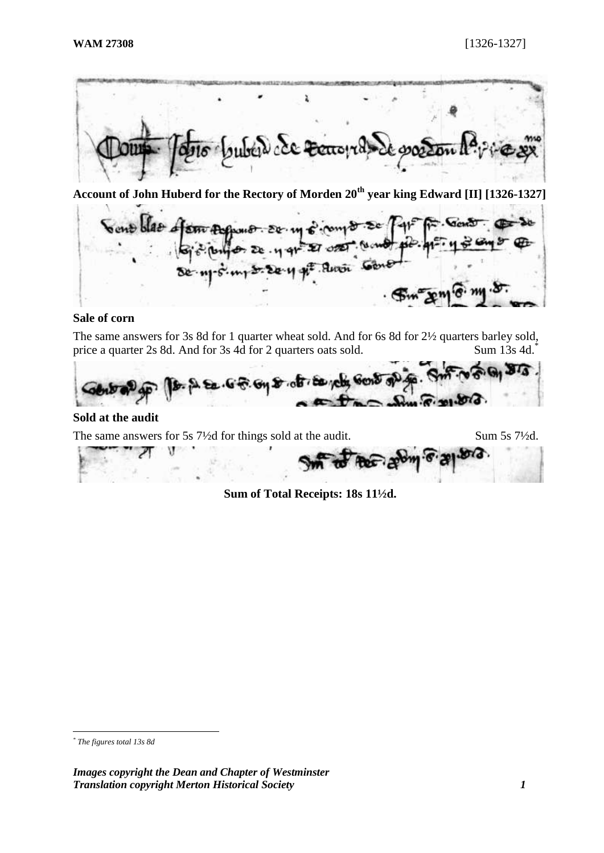

**Account of John Huberd for the Rectory of Morden 20th year king Edward [II] [1326-1327]**

Sont blas of sm As  $8.50.$  $2e.4$ .Anoi

## **Sale of corn**

The same answers for 3s 8d for 1 quarter wheat sold. And for 6s 8d for 2½ quarters barley sold, price a quarter 2s 8d. And for 3s 4d for 2 quarters oats sold. Sum 13s 4d.<sup>\*</sup>



## **Sold at the audit**

The same answers for 5s 7½d for things sold at the audit. Sum 5s 7½d.

V

**Sum of Total Receipts: 18s 11½d.**

<sup>&</sup>lt;u>.</u> *\* The figures total 13s 8d*

*Images copyright the Dean and Chapter of Westminster Translation copyright Merton Historical Society 1*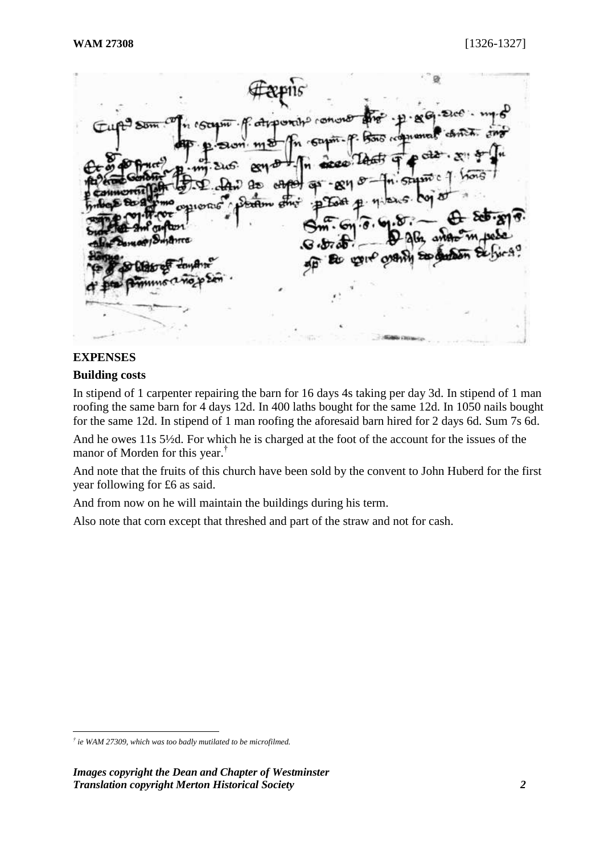$45$ 

## **EXPENSES**

<u>.</u>

## **Building costs**

In stipend of 1 carpenter repairing the barn for 16 days 4s taking per day 3d. In stipend of 1 man roofing the same barn for 4 days 12d. In 400 laths bought for the same 12d. In 1050 nails bought for the same 12d. In stipend of 1 man roofing the aforesaid barn hired for 2 days 6d. Sum 7s 6d.

And he owes 11s 5½d. For which he is charged at the foot of the account for the issues of the manor of Morden for this year.†

And note that the fruits of this church have been sold by the convent to John Huberd for the first year following for £6 as said.

And from now on he will maintain the buildings during his term.

Also note that corn except that threshed and part of the straw and not for cash.

*<sup>†</sup> ie WAM 27309, which was too badly mutilated to be microfilmed.*